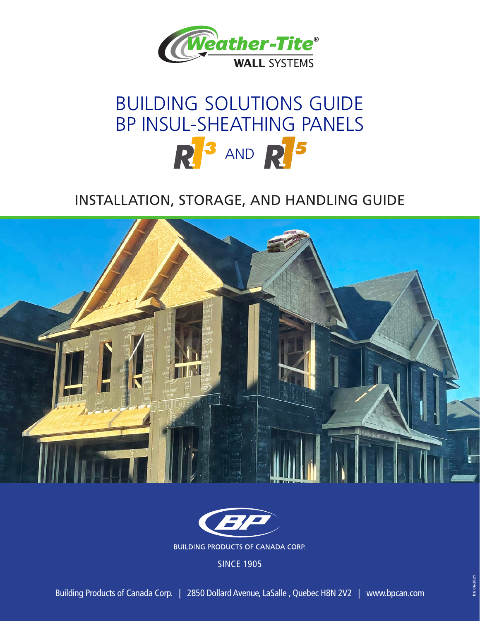

# BUILDING SOLUTIONS GUIDE BP INSUL-SHEATHING PANELS  $R^3$  and  $R^5$

## INSTALLATION, STORAGE, AND HANDLING GUIDE





SINCE 1905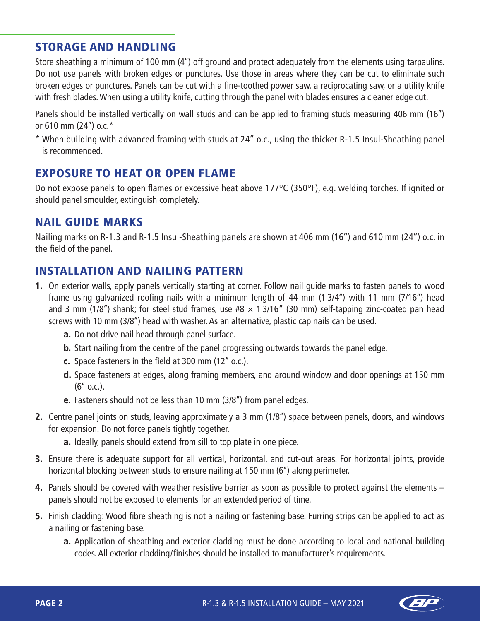#### STORAGE AND HANDLING

Store sheathing a minimum of 100 mm (4'') off ground and protect adequately from the elements using tarpaulins. Do not use panels with broken edges or punctures. Use those in areas where they can be cut to eliminate such broken edges or punctures. Panels can be cut with a fine-toothed power saw, a reciprocating saw, or a utility knife with fresh blades. When using a utility knife, cutting through the panel with blades ensures a cleaner edge cut.

Panels should be installed vertically on wall studs and can be applied to framing studs measuring 406 mm (16'') or 610 mm (24'') o.c.\*

\* When building with advanced framing with studs at 24'' o.c., using the thicker R-1.5 Insul-Sheathing panel is recommended.

### EXPOSURE TO HEAT OR OPEN FLAME

Do not expose panels to open flames or excessive heat above 177°C (350°F), e.g. welding torches. If ignited or should panel smoulder, extinguish completely.

### NAIL GUIDE MARKS

Nailing marks on R-1.3 and R-1.5 Insul-Sheathing panels are shown at 406 mm (16'') and 610 mm (24'') o.c. in the field of the panel.

### INSTALLATION AND NAILING PATTERN

- 1. On exterior walls, apply panels vertically starting at corner. Follow nail guide marks to fasten panels to wood frame using galvanized roofing nails with a minimum length of 44 mm (1 3/4'') with 11 mm (7/16'') head and 3 mm (1/8") shank; for steel stud frames, use  $#8 \times 13/16$ " (30 mm) self-tapping zinc-coated pan head screws with 10 mm (3/8'') head with washer. As an alternative, plastic cap nails can be used.
	- a. Do not drive nail head through panel surface.
	- b. Start nailing from the centre of the panel progressing outwards towards the panel edge.
	- c. Space fasteners in the field at 300 mm (12'' o.c.).
	- d. Space fasteners at edges, along framing members, and around window and door openings at 150 mm  $(6"$  o.c.).
	- **e.** Fasteners should not be less than 10 mm (3/8") from panel edges.
- 2. Centre panel joints on studs, leaving approximately a 3 mm (1/8") space between panels, doors, and windows for expansion. Do not force panels tightly together.
	- a. Ideally, panels should extend from sill to top plate in one piece.
- 3. Ensure there is adequate support for all vertical, horizontal, and cut-out areas. For horizontal joints, provide horizontal blocking between studs to ensure nailing at 150 mm (6'') along perimeter.
- 4. Panels should be covered with weather resistive barrier as soon as possible to protect against the elements panels should not be exposed to elements for an extended period of time.
- 5. Finish cladding: Wood fibre sheathing is not a nailing or fastening base. Furring strips can be applied to act as a nailing or fastening base.
	- a. Application of sheathing and exterior cladding must be done according to local and national building codes. All exterior cladding/finishes should be installed to manufacturer's requirements.

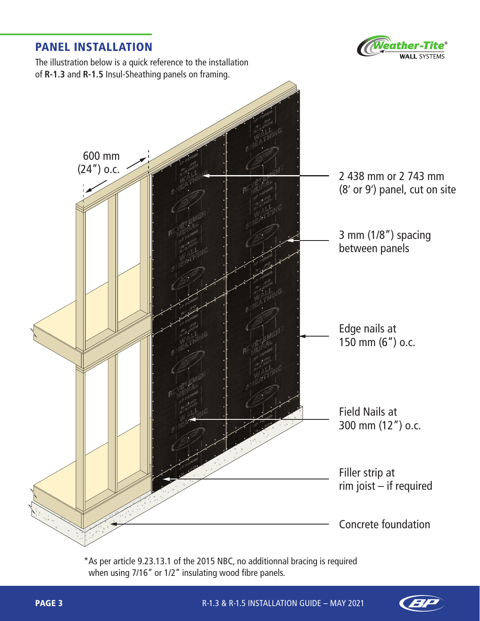#### PANEL INSTALLATION



The illustration below is a quick reference to the installation of **R-1.3** and **R-1.5** Insul-Sheathing panels on framing.



\*As per article 9.23.13.1 of the 2015 NBC, no additionnal bracing is required when using 7/16" or 1/2" insulating wood fibre panels.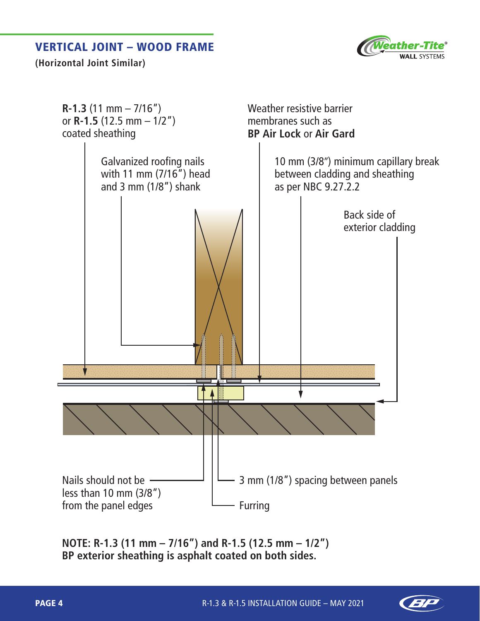#### VERTICAL JOINT – WOOD FRAME



**(Horizontal Joint Similar)**



**NOTE: R-1.3 (11 mm – 7/16") and R-1.5 (12.5 mm – 1/2") BP exterior sheathing is asphalt coated on both sides.**

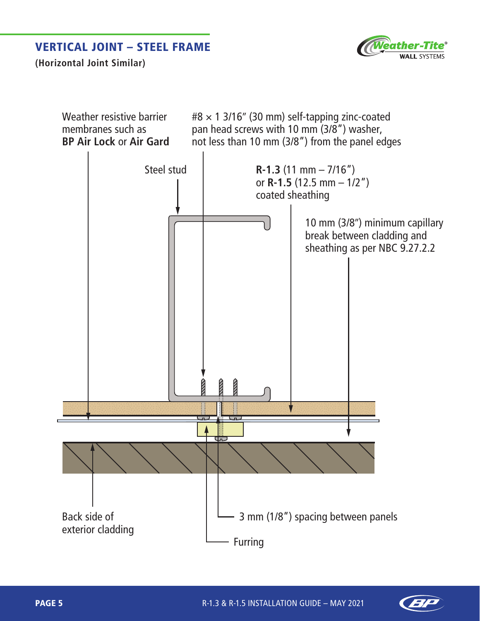#### VERTICAL JOINT – STEEL FRAME



**(Horizontal Joint Similar)**



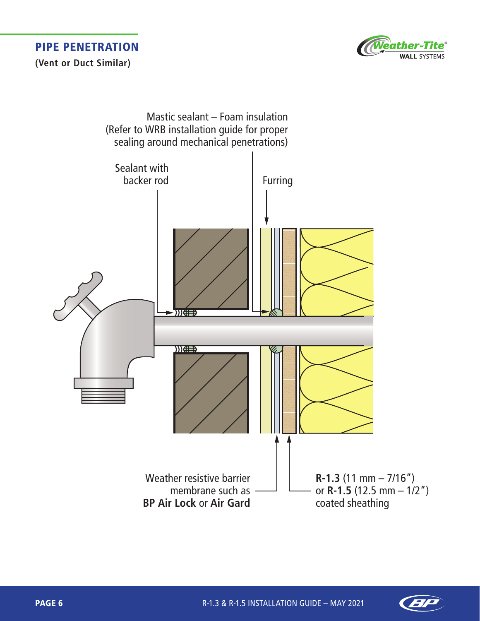



**(Vent or Duct Similar)**



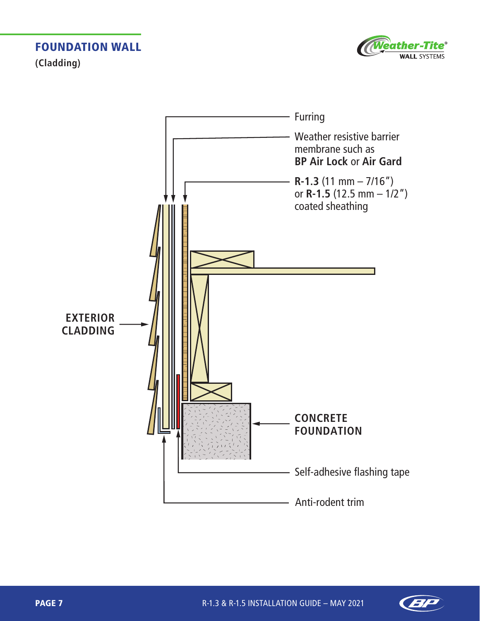FOUNDATION WALL **(Cladding)**





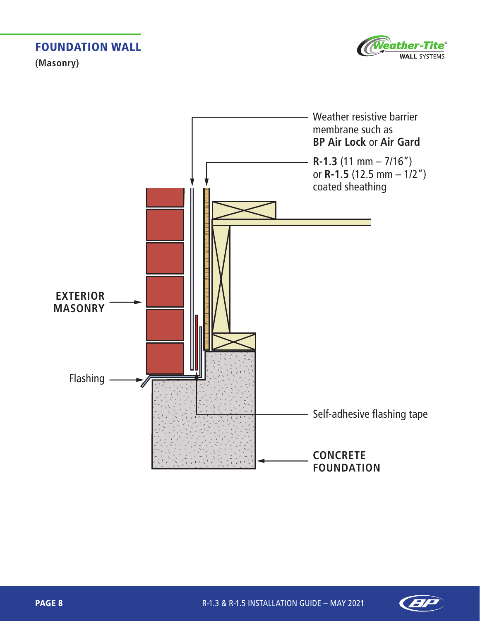FOUNDATION WALL

**(Masonry)**